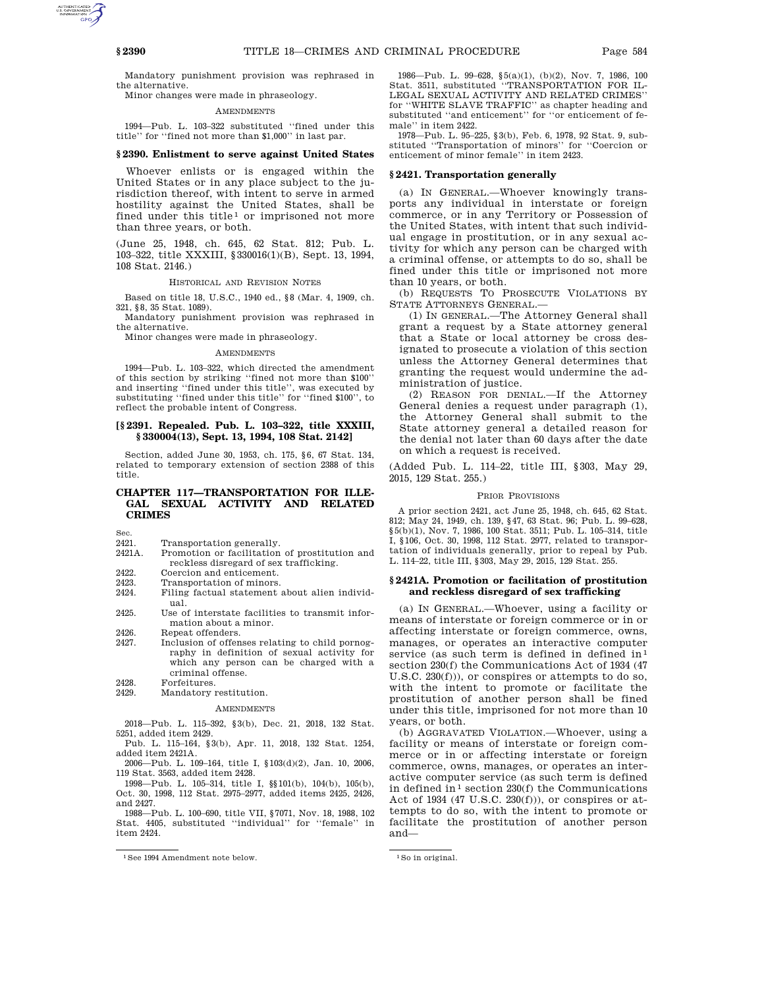Mandatory punishment provision was rephrased in the alternative.

Minor changes were made in phraseology.

#### **AMENDMENTS**

1994—Pub. L. 103–322 substituted ''fined under this title'' for ''fined not more than \$1,000'' in last par.

### **§ 2390. Enlistment to serve against United States**

Whoever enlists or is engaged within the United States or in any place subject to the jurisdiction thereof, with intent to serve in armed hostility against the United States, shall be fined under this title<sup>1</sup> or imprisoned not more than three years, or both.

(June 25, 1948, ch. 645, 62 Stat. 812; Pub. L. 103–322, title XXXIII, §330016(1)(B), Sept. 13, 1994, 108 Stat. 2146.)

## HISTORICAL AND REVISION NOTES

Based on title 18, U.S.C., 1940 ed., §8 (Mar. 4, 1909, ch. 321, §8, 35 Stat. 1089).

Mandatory punishment provision was rephrased in the alternative.

Minor changes were made in phraseology.

#### AMENDMENTS

1994—Pub. L. 103–322, which directed the amendment of this section by striking ''fined not more than \$100'' and inserting ''fined under this title'', was executed by substituting ''fined under this title'' for ''fined \$100'', to reflect the probable intent of Congress.

# **[§ 2391. Repealed. Pub. L. 103–322, title XXXIII, § 330004(13), Sept. 13, 1994, 108 Stat. 2142]**

Section, added June 30, 1953, ch. 175, §6, 67 Stat. 134, related to temporary extension of section 2388 of this title.

# **CHAPTER 117—TRANSPORTATION FOR ILLE-GAL SEXUAL ACTIVITY AND RELATED CRIMES**

Sec.

- 2421. Transportation generally.<br>2421A. Promotion or facilitation
- Promotion or facilitation of prostitution and reckless disregard of sex trafficking.
- 2422. Coercion and enticement.<br>2423. Transportation of minors.
- 2423. Transportation of minors.<br>2424. Filing factual statement Filing factual statement about alien individual.
- 2425. Use of interstate facilities to transmit information about a minor.
- 2426. Repeat offenders.<br>2427 Inclusion of offer
- Inclusion of offenses relating to child pornography in definition of sexual activity for which any person can be charged with a criminal offense.
- 2428. Forfeitures.
- 2429. Mandatory restitution.

#### **AMENDMENTS**

2018—Pub. L. 115–392, §3(b), Dec. 21, 2018, 132 Stat. 5251, added item 2429.

Pub. L. 115–164, §3(b), Apr. 11, 2018, 132 Stat. 1254, added item 2421A.

2006—Pub. L. 109–164, title I, §103(d)(2), Jan. 10, 2006, 119 Stat. 3563, added item 2428.

1998—Pub. L. 105–314, title I, §§101(b), 104(b), 105(b), Oct. 30, 1998, 112 Stat. 2975–2977, added items 2425, 2426, and 2427.

1988—Pub. L. 100–690, title VII, §7071, Nov. 18, 1988, 102 Stat. 4405, substituted "individual" for "female" item 2424.

1986—Pub. L. 99–628, §5(a)(1), (b)(2), Nov. 7, 1986, 100 Stat. 3511, substituted ''TRANSPORTATION FOR IL-LEGAL SEXUAL ACTIVITY AND RELATED CRIMES'' for ''WHITE SLAVE TRAFFIC'' as chapter heading and substituted ''and enticement'' for ''or enticement of female'' in item 2422.

1978—Pub. L. 95–225, §3(b), Feb. 6, 1978, 92 Stat. 9, substituted ''Transportation of minors'' for ''Coercion or enticement of minor female'' in item 2423.

#### **§ 2421. Transportation generally**

(a) IN GENERAL.—Whoever knowingly transports any individual in interstate or foreign commerce, or in any Territory or Possession of the United States, with intent that such individual engage in prostitution, or in any sexual activity for which any person can be charged with a criminal offense, or attempts to do so, shall be fined under this title or imprisoned not more than 10 years, or both.

(b) REQUESTS TO PROSECUTE VIOLATIONS BY STATE ATTORNEYS GENERAL.—

(1) IN GENERAL.—The Attorney General shall grant a request by a State attorney general that a State or local attorney be cross designated to prosecute a violation of this section unless the Attorney General determines that granting the request would undermine the administration of justice.

(2) REASON FOR DENIAL.—If the Attorney General denies a request under paragraph (1), the Attorney General shall submit to the State attorney general a detailed reason for the denial not later than 60 days after the date on which a request is received.

(Added Pub. L. 114–22, title III, §303, May 29, 2015, 129 Stat. 255.)

#### PRIOR PROVISIONS

A prior section 2421, act June 25, 1948, ch. 645, 62 Stat. 812; May 24, 1949, ch. 139, §47, 63 Stat. 96; Pub. L. 99–628, §5(b)(1), Nov. 7, 1986, 100 Stat. 3511; Pub. L. 105–314, title I, §106, Oct. 30, 1998, 112 Stat. 2977, related to transportation of individuals generally, prior to repeal by Pub. L. 114–22, title III, §303, May 29, 2015, 129 Stat. 255.

# **§ 2421A. Promotion or facilitation of prostitution and reckless disregard of sex trafficking**

(a) IN GENERAL.—Whoever, using a facility or means of interstate or foreign commerce or in or affecting interstate or foreign commerce, owns, manages, or operates an interactive computer service (as such term is defined in defined  $in<sup>1</sup>$ section 230(f) the Communications Act of 1934 (47 U.S.C. 230(f))), or conspires or attempts to do so, with the intent to promote or facilitate the prostitution of another person shall be fined under this title, imprisoned for not more than 10 years, or both.

(b) AGGRAVATED VIOLATION.—Whoever, using a facility or means of interstate or foreign commerce or in or affecting interstate or foreign commerce, owns, manages, or operates an interactive computer service (as such term is defined in defined in<sup>1</sup> section 230(f) the Communications Act of 1934 (47 U.S.C. 230(f))), or conspires or attempts to do so, with the intent to promote or facilitate the prostitution of another person and—

<sup>&</sup>lt;sup>1</sup>See 1994 Amendment note below. <sup>1</sup>So in original.